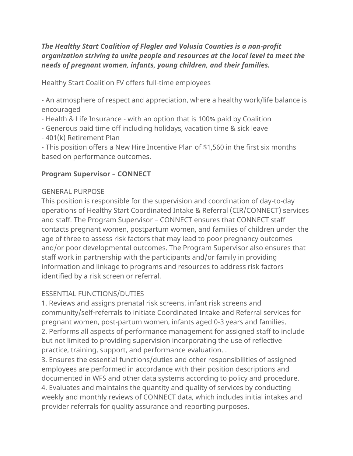*The Healthy Start Coalition of Flagler and Volusia Counties is a non-profit organization striving to unite people and resources at the local level to meet the needs of pregnant women, infants, young children, and their families.*

Healthy Start Coalition FV offers full-time employees

- An atmosphere of respect and appreciation, where a healthy work/life balance is encouraged

- Health & Life Insurance - with an option that is 100% paid by Coalition

- Generous paid time off including holidays, vacation time & sick leave

- 401(k) Retirement Plan

- This position offers a New Hire Incentive Plan of \$1,560 in the first six months based on performance outcomes.

### **Program Supervisor – CONNECT**

### GENERAL PURPOSE

This position is responsible for the supervision and coordination of day-to-day operations of Healthy Start Coordinated Intake & Referral (CIR/CONNECT) services and staff. The Program Supervisor – CONNECT ensures that CONNECT staff contacts pregnant women, postpartum women, and families of children under the age of three to assess risk factors that may lead to poor pregnancy outcomes and/or poor developmental outcomes. The Program Supervisor also ensures that staff work in partnership with the participants and/or family in providing information and linkage to programs and resources to address risk factors identified by a risk screen or referral.

# ESSENTIAL FUNCTIONS/DUTIES

1. Reviews and assigns prenatal risk screens, infant risk screens and community/self-referrals to initiate Coordinated Intake and Referral services for pregnant women, post-partum women, infants aged 0-3 years and families. 2. Performs all aspects of performance management for assigned staff to include but not limited to providing supervision incorporating the use of reflective practice, training, support, and performance evaluation. .

3. Ensures the essential functions/duties and other responsibilities of assigned employees are performed in accordance with their position descriptions and documented in WFS and other data systems according to policy and procedure. 4. Evaluates and maintains the quantity and quality of services by conducting weekly and monthly reviews of CONNECT data, which includes initial intakes and provider referrals for quality assurance and reporting purposes.